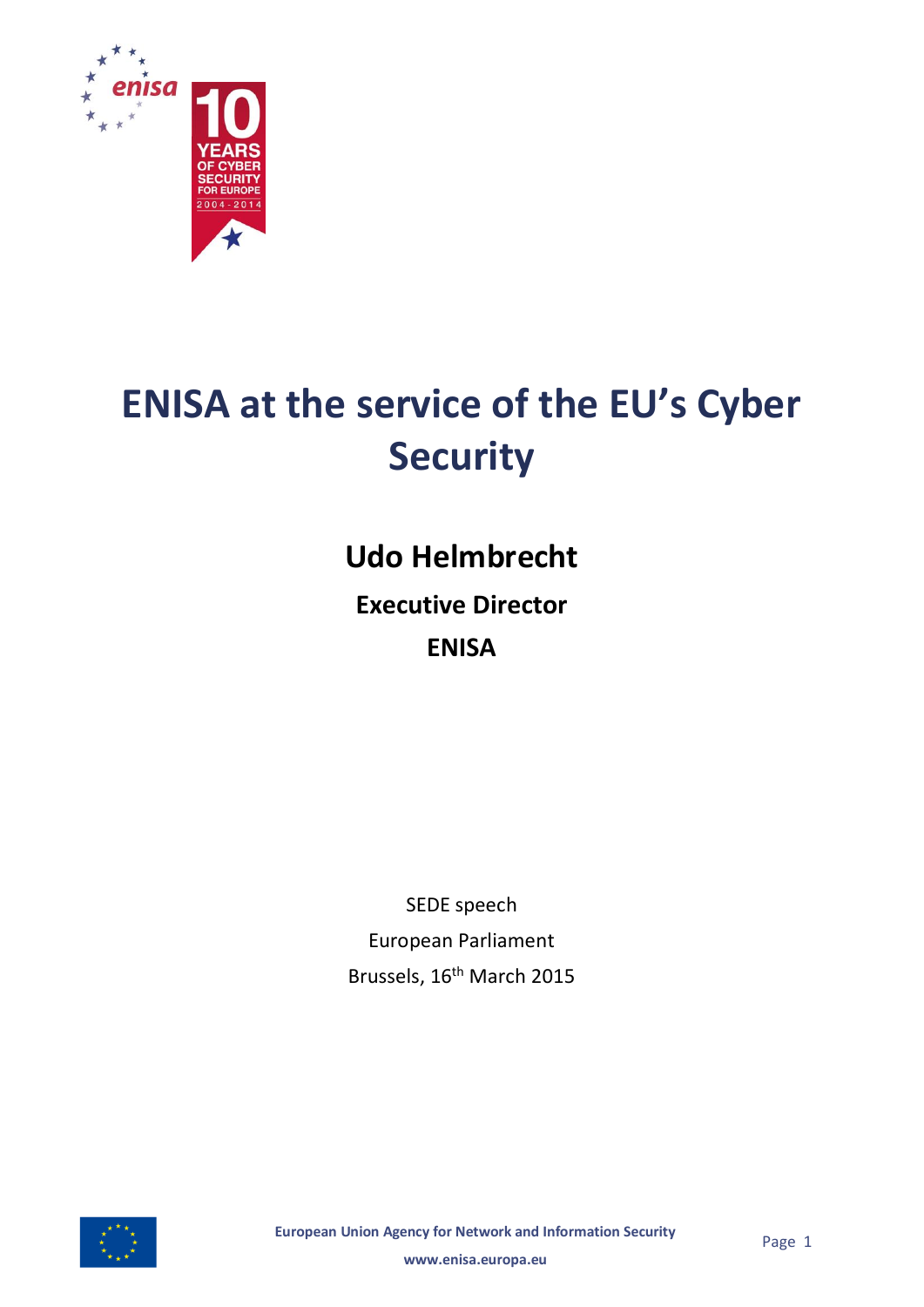

# **ENISA at the service of the EU's Cyber Security**

## **Udo Helmbrecht**

**Executive Director ENISA**

SEDE speech European Parliament Brussels, 16<sup>th</sup> March 2015



**European Union Agency for Network and Information Security**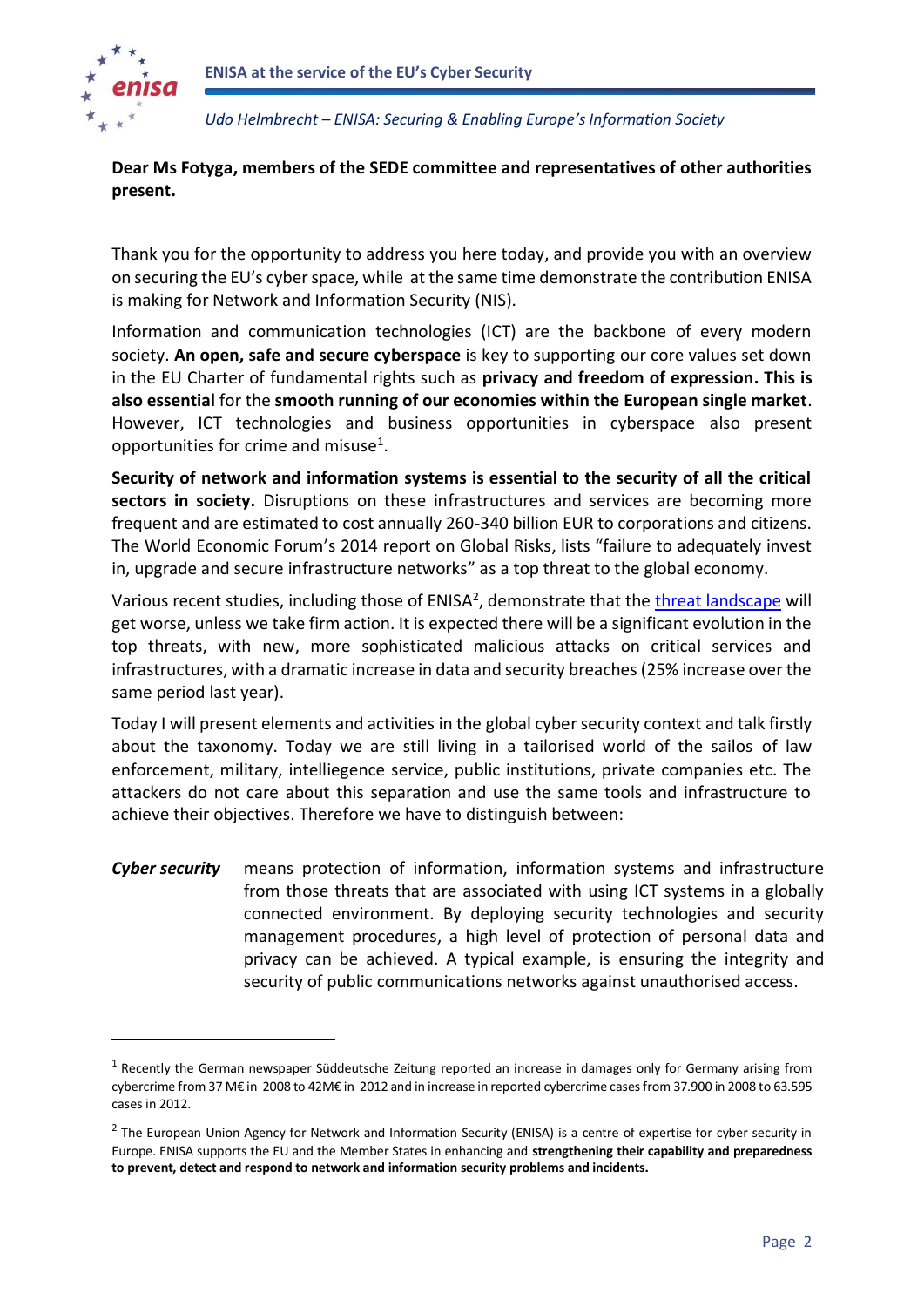

**.** 

*Udo Helmbrecht – ENISA: Securing & Enabling Europe's Information Society*

### **Dear Ms Fotyga, members of the SEDE committee and representatives of other authorities present.**

Thank you for the opportunity to address you here today, and provide you with an overview on securing the EU's cyber space, while at the same time demonstrate the contribution ENISA is making for Network and Information Security (NIS).

Information and communication technologies (ICT) are the backbone of every modern society. **An open, safe and secure cyberspace** is key to supporting our core values set down in the EU Charter of fundamental rights such as **privacy and freedom of expression. This is also essential** for the **smooth running of our economies within the European single market**. However, ICT technologies and business opportunities in cyberspace also present opportunities for crime and misuse<sup>1</sup>.

**Security of network and information systems is essential to the security of all the critical sectors in society.** Disruptions on these infrastructures and services are becoming more frequent and are estimated to cost annually 260-340 billion EUR to corporations and citizens. The World Economic Forum's 2014 report on Global Risks, lists "failure to adequately invest in, upgrade and secure infrastructure networks" as a top threat to the global economy.

Various recent studies, including those of ENISA<sup>2</sup>, demonstrate that the [threat landscape](https://www.enisa.europa.eu/media/press-releases/enisa-draws-the-cyber-threat-landscape-2014) will get worse, unless we take firm action. It is expected there will be a significant evolution in the top threats, with new, more sophisticated malicious attacks on critical services and infrastructures, with a dramatic increase in data and security breaches (25% increase over the same period last year).

Today I will present elements and activities in the global cyber security context and talk firstly about the taxonomy. Today we are still living in a tailorised world of the sailos of law enforcement, military, intelliegence service, public institutions, private companies etc. The attackers do not care about this separation and use the same tools and infrastructure to achieve their objectives. Therefore we have to distinguish between:

*Cyber security* means protection of information, information systems and infrastructure from those threats that are associated with using ICT systems in a globally connected environment. By deploying security technologies and security management procedures, a high level of protection of personal data and privacy can be achieved. A typical example, is ensuring the integrity and security of public communications networks against unauthorised access.

 $<sup>1</sup>$  Recently the German newspaper Süddeutsche Zeitung reported an increase in damages only for Germany arising from</sup> cybercrime from 37 M€ in 2008 to 42M€ in 2012 and in increase in reported cybercrime cases from 37.900 in 2008 to 63.595 cases in 2012.

<sup>&</sup>lt;sup>2</sup> The European Union Agency for Network and Information Security (ENISA) is a centre of expertise for cyber security in Europe. ENISA supports the EU and the Member States in enhancing and **strengthening their capability and preparedness to prevent, detect and respond to network and information security problems and incidents.**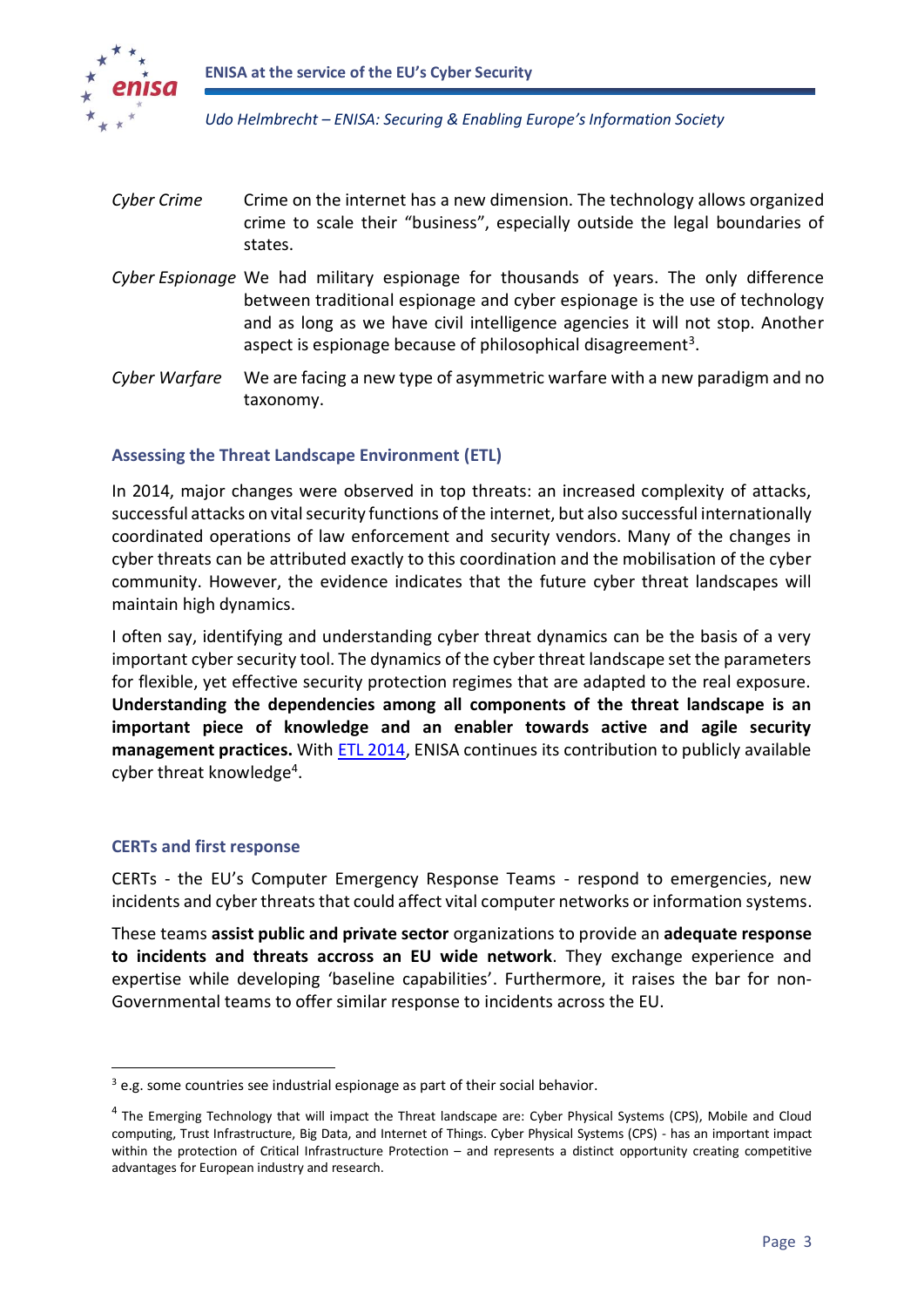

- *Cyber Crime* Crime on the internet has a new dimension. The technology allows organized crime to scale their "business", especially outside the legal boundaries of states.
- *Cyber Espionage* We had military espionage for thousands of years. The only difference between traditional espionage and cyber espionage is the use of technology and as long as we have civil intelligence agencies it will not stop. Another aspect is espionage because of philosophical disagreement<sup>3</sup>.
- *Cyber Warfare* We are facing a new type of asymmetric warfare with a new paradigm and no taxonomy.

#### **Assessing the Threat Landscape Environment (ETL)**

In 2014, major changes were observed in top threats: an increased complexity of attacks, successful attacks on vital security functions of the internet, but also successful internationally coordinated operations of law enforcement and security vendors. Many of the changes in cyber threats can be attributed exactly to this coordination and the mobilisation of the cyber community. However, the evidence indicates that the future cyber threat landscapes will maintain high dynamics.

I often say, identifying and understanding cyber threat dynamics can be the basis of a very important cyber security tool. The dynamics of the cyber threat landscape set the parameters for flexible, yet effective security protection regimes that are adapted to the real exposure. **Understanding the dependencies among all components of the threat landscape is an important piece of knowledge and an enabler towards active and agile security management practices.** With [ETL 2014,](https://www.enisa.europa.eu/activities/risk-management/evolving-threat-environment/enisa-threat-landscape/enisa-threat-landscape-2014) ENISA continues its contribution to publicly available cyber threat knowledge<sup>4</sup>.

#### **CERTs and first response**

**.** 

CERTs - the EU's Computer Emergency Response Teams - respond to emergencies, new incidents and cyber threats that could affect vital computer networks or information systems.

These teams **assist public and private sector** organizations to provide an **adequate response to incidents and threats accross an EU wide network**. They exchange experience and expertise while developing 'baseline capabilities'. Furthermore, it raises the bar for non-Governmental teams to offer similar response to incidents across the EU.

 $3$  e.g. some countries see industrial espionage as part of their social behavior.

<sup>&</sup>lt;sup>4</sup> The Emerging Technology that will impact the Threat landscape are: Cyber Physical Systems (CPS), Mobile and Cloud computing, Trust Infrastructure, Big Data, and Internet of Things. Cyber Physical Systems (CPS) - has an important impact within the protection of Critical Infrastructure Protection – and represents a distinct opportunity creating competitive advantages for European industry and research.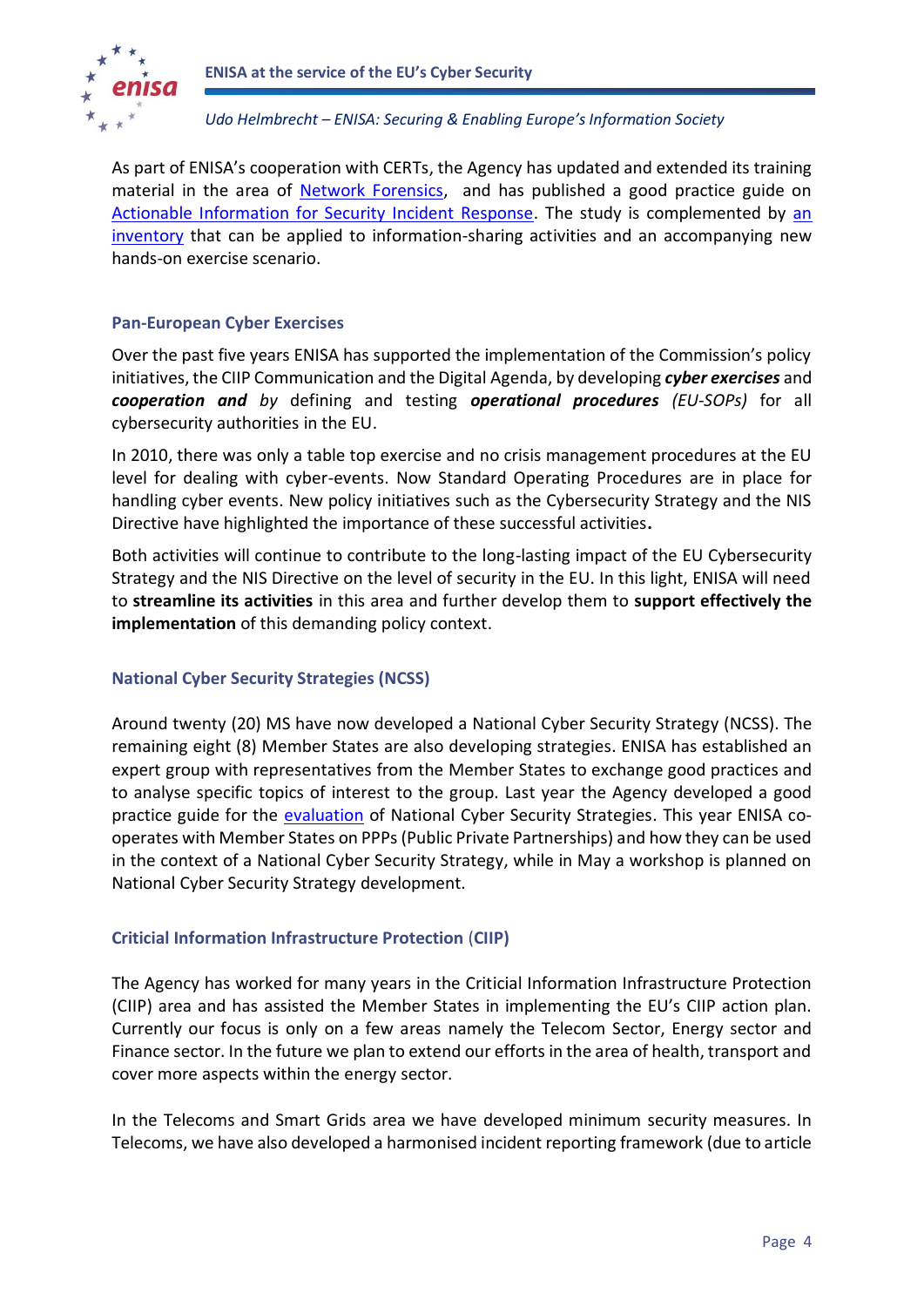

As part of ENISA's cooperation with CERTs, the Agency has updated and extended its training material in the area of [Network Forensics,](https://www.enisa.europa.eu/activities/cert/training/training-resources/technical-operational#network_forensics) and has published a good practice guide on [Actionable Information for Security Incident Response.](https://www.enisa.europa.eu/media/press-releases/new-guide-by-enisa-actionable-information-for-security-incident-response) The study is complemented by [an](https://www.enisa.europa.eu/activities/cert/support/actionable-information/standards-and-tools-for-exchange-and-processing-of-actionable-information)  [inventory](https://www.enisa.europa.eu/activities/cert/support/actionable-information/standards-and-tools-for-exchange-and-processing-of-actionable-information) that can be applied to information-sharing activities and an accompanying new hands-on exercise scenario.

#### **Pan-European Cyber Exercises**

Over the past five years ENISA has supported the implementation of the Commission's policy initiatives, the CIIP Communication and the Digital Agenda, by developing *cyber exercises* and *cooperation and by* defining and testing *operational procedures (EU-SOPs)* for all cybersecurity authorities in the EU.

In 2010, there was only a table top exercise and no crisis management procedures at the EU level for dealing with cyber-events. Now Standard Operating Procedures are in place for handling cyber events. New policy initiatives such as the Cybersecurity Strategy and the NIS Directive have highlighted the importance of these successful activities**.**

Both activities will continue to contribute to the long-lasting impact of the EU Cybersecurity Strategy and the NIS Directive on the level of security in the EU. In this light, ENISA will need to **streamline its activities** in this area and further develop them to **support effectively the implementation** of this demanding policy context.

#### **National Cyber Security Strategies (NCSS)**

Around twenty (20) MS have now developed a National Cyber Security Strategy (NCSS). The remaining eight (8) Member States are also developing strategies. ENISA has established an expert group with representatives from the Member States to exchange good practices and to analyse specific topics of interest to the group. Last year the Agency developed a good practice guide for the [evaluation](https://www.enisa.europa.eu/media/press-releases/enisa-publishes-the-first-framework-on-how-to-evaluate-national-cyber-security-strategies) of National Cyber Security Strategies. This year ENISA cooperates with Member States on PPPs (Public Private Partnerships) and how they can be used in the context of a National Cyber Security Strategy, while in May a workshop is planned on National Cyber Security Strategy development.

#### **Criticial Information Infrastructure Protection** (**CIIP)**

The Agency has worked for many years in the Criticial Information Infrastructure Protection (CIIP) area and has assisted the Member States in implementing the EU's CIIP action plan. Currently our focus is only on a few areas namely the Telecom Sector, Energy sector and Finance sector. In the future we plan to extend our efforts in the area of health, transport and cover more aspects within the energy sector.

In the Telecoms and Smart Grids area we have developed minimum security measures. In Telecoms, we have also developed a harmonised incident reporting framework (due to article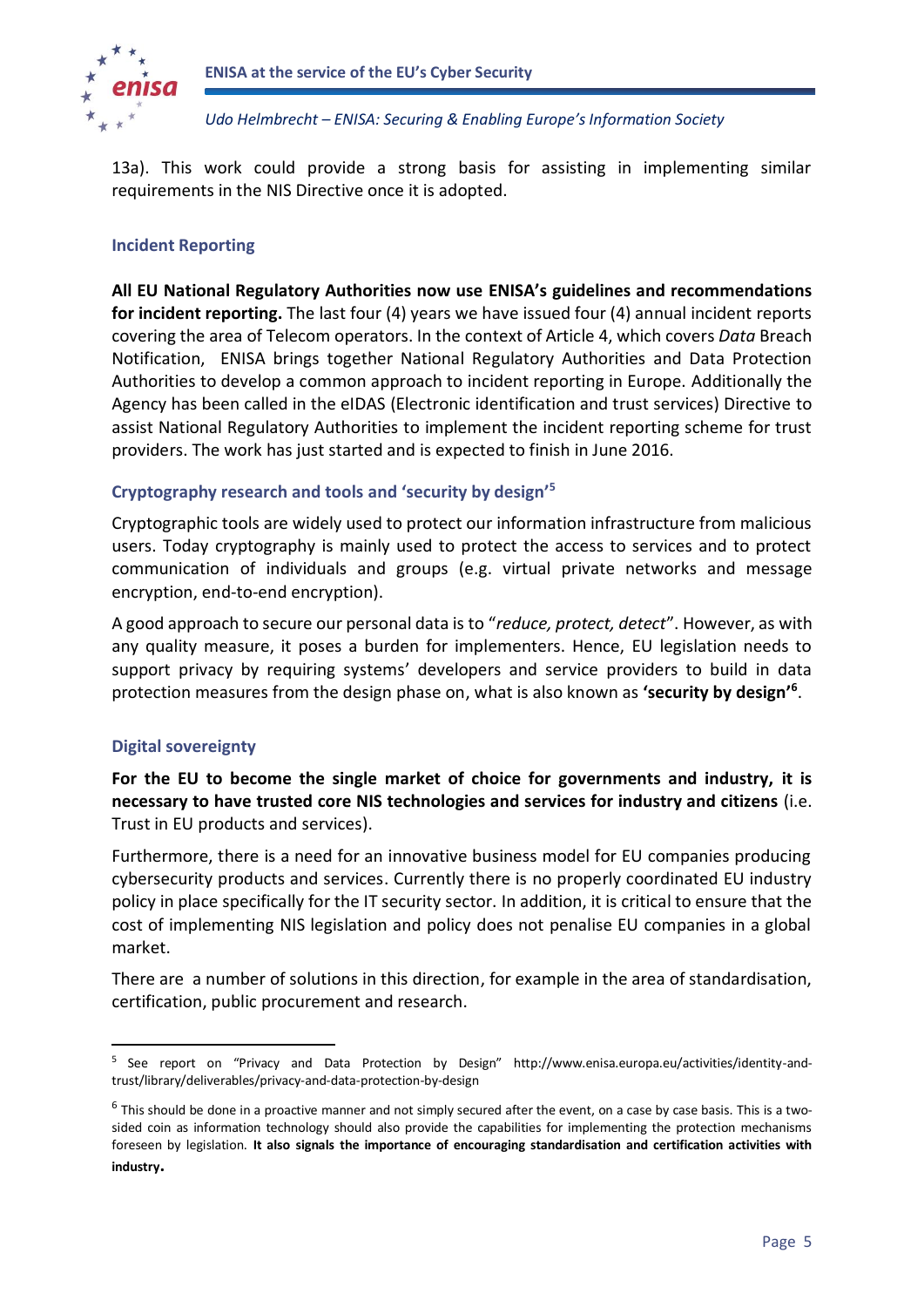

13a). This work could provide a strong basis for assisting in implementing similar requirements in the NIS Directive once it is adopted.

#### **Incident Reporting**

**All EU National Regulatory Authorities now use ENISA's guidelines and recommendations for incident reporting.** The last four (4) years we have issued four (4) annual incident reports covering the area of Telecom operators. In the context of Article 4, which covers *Data* Breach Notification, ENISA brings together National Regulatory Authorities and Data Protection Authorities to develop a common approach to incident reporting in Europe. Additionally the Agency has been called in the eIDAS (Electronic identification and trust services) Directive to assist National Regulatory Authorities to implement the incident reporting scheme for trust providers. The work has just started and is expected to finish in June 2016.

#### **Cryptography research and tools and 'security by design'<sup>5</sup>**

Cryptographic tools are widely used to protect our information infrastructure from malicious users. Today cryptography is mainly used to protect the access to services and to protect communication of individuals and groups (e.g. virtual private networks and message encryption, end-to-end encryption).

A good approach to secure our personal data is to "*reduce, protect, detect*". However, as with any quality measure, it poses a burden for implementers. Hence, EU legislation needs to support privacy by requiring systems' developers and service providers to build in data protection measures from the design phase on, what is also known as **'security by design'<sup>6</sup>** .

#### **Digital sovereignty**

-

**For the EU to become the single market of choice for governments and industry, it is necessary to have trusted core NIS technologies and services for industry and citizens** (i.e. Trust in EU products and services).

Furthermore, there is a need for an innovative business model for EU companies producing cybersecurity products and services. Currently there is no properly coordinated EU industry policy in place specifically for the IT security sector. In addition, it is critical to ensure that the cost of implementing NIS legislation and policy does not penalise EU companies in a global market.

There are a number of solutions in this direction, for example in the area of standardisation, certification, public procurement and research.

<sup>&</sup>lt;sup>5</sup> See report on "Privacy and Data Protection by Design" http://www.enisa.europa.eu/activities/identity-andtrust/library/deliverables/privacy-and-data-protection-by-design

 $^6$  This should be done in a proactive manner and not simply secured after the event, on a case by case basis. This is a twosided coin as information technology should also provide the capabilities for implementing the protection mechanisms foreseen by legislation. **It also signals the importance of encouraging standardisation and certification activities with industry.**